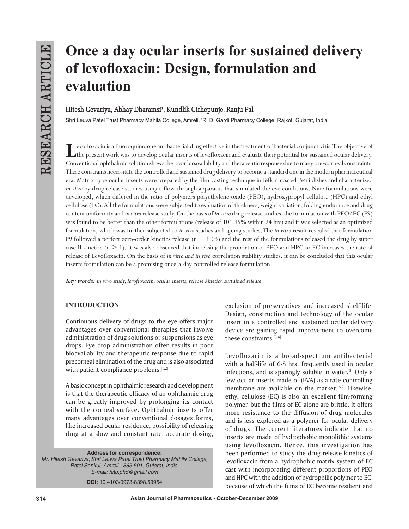# **Once a day ocular inserts for sustained delivery of levofloxacin: Design, formulation and evaluation**

# **Hitesh Gevariya, Abhay Dharamsi1 , Kundlik Girhepunje, Ranju Pal**

Shri Leuva Patel Trust Pharmacy Mahila College, Amreli, 1R. D. Gardi Pharmacy College, Rajkot, Gujarat, India

**L**evofloxacin is a fluoroquinolone antibacterial drug effective in the treatment of bacterial conjunctivitis. The objective of the present work was to develop ocular inserts of levofloxacin and evaluate their potential for sustained ocular delivery. Conventional ophthalmic solution shows the poor bioavailability and therapeutic response due to many pre**-**corneal constraints. These constrains necessitate the controlled and sustained drug delivery to become a standard one in the modern pharmaceutical era. Matrix-type ocular inserts were prepared by the film-casting technique in Teflon-coated Petri dishes and characterized *in vitro* by drug release studies using a flow-through apparatus that simulated the eye conditions. Nine formulations were developed, which differed in the ratio of polymers polyethylene oxide (PEO), hydroxypropyl cellulose (HPC) and ethyl cellulose (EC). All the formulations were subjected to evaluation of thickness, weight variation, folding endurance and drug content uniformity and *in vitro* release study. On the basis of *in vitro* drug release studies, the formulation with PEO/EC (F9) was found to be better than the other formulations (release of 101.35% within 24 hrs) and it was selected as an optimized formulation, which was further subjected to *in vivo* studies and ageing studies. The *in vitro* result revealed that formulation F9 followed a perfect zero-order kinetics release ( $n = 1.03$ ) and the rest of the formulations released the drug by super case II kinetics  $(n \geq 1)$ . It was also observed that increasing the proportion of PEO and HPC to EC increases the rate of release of Levofloxacin. On the basis of *in vitro and in vivo* correlation stability studies, it can be concluded that this ocular inserts formulation can be a promising once-a-day controlled release formulation.

*Key words: In vivo study, levofloxacin, ocular inserts, release kinetics, sustained release*

# **INTRODUCTION**

Continuous delivery of drugs to the eye offers major advantages over conventional therapies that involve administration of drug solutions or suspensions as eye drops. Eye drop administration often results in poor bioavailability and therapeutic response due to rapid precorneal elimination of the drug and is also associated with patient compliance problems.[1,2]

A basic concept in ophthalmic research and development is that the therapeutic efficacy of an ophthalmic drug can be greatly improved by prolonging its contact with the corneal surface. Ophthalmic inserts offer many advantages over conventional dosages forms, like increased ocular residence, possibility of releasing drug at a slow and constant rate, accurate dosing,

# **Address for correspondence:** *Mr. Hitesh Gevariya,Shri Leuva Patel Trust Pharmacy Mahila College,*

*Patel Sankul, Amreli - 365 601, Gujarat, India. E-mail: hitu.phd@gmail.com* **DOI:** 10.4103/0973-8398.59954

exclusion of preservatives and increased shelf-life. Design, construction and technology of the ocular insert in a controlled and sustained ocular delivery device are gaining rapid improvement to overcome these constraints.[3,4]

Levofloxacin is a broad-spectrum antibacterial with a half-life of 6-8 hrs, frequently used in ocular infections, and is sparingly soluble in water.[5] Only a few ocular inserts made of (EVA) as a rate controlling membrane are available on the market. $[6,7]$  Likewise, ethyl cellulose (EC) is also an excellent film-forming polymer, but the films of EC alone are brittle. It offers more resistance to the diffusion of drug molecules and is less explored as a polymer for ocular delivery of drugs. The current literatures indicate that no inserts are made of hydrophobic monolithic systems using levofloxacin. Hence, this investigation has been performed to study the drug release kinetics of levofloxacin from a hydrophobic matrix system of EC cast with incorporating different proportions of PEO and HPC with the addition of hydrophilic polymer to EC, because of which the films of EC become resilient and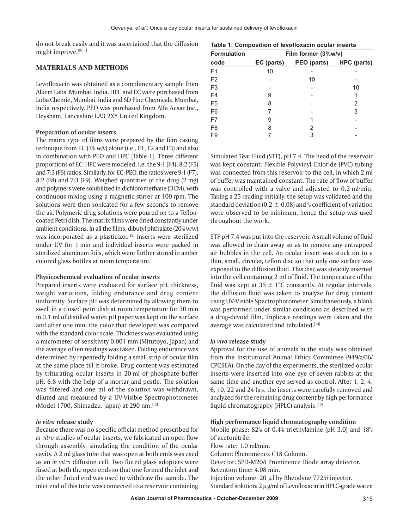do not break easily and it was ascertained that the diffusion might improve.[8-11]

## **MATERIALS AND METHODS**

Levofloxacin was obtained as a complimentary sample from Alkem Labs, Mumbai, India. HPC and EC were purchased from Loba Chemie, Mumbai, India and SD Fine Chemicals, Mumbai, India respectively. PEO was purchased from Alfa Aesar Inc., Heysham, Lancashire LA3 2XY United Kingdom.

#### **Preparation of ocular inserts**

The matrix type of films were prepared by the film casting technique from EC (3% w/v) alone (i.e., F1, F2 and F3) and also in combination with PEO and HPC [Table 1]. Three different proportions of EC: HPC were modeled, i.e.the 9:1 (F4), 8:2 (F5) and 7:3 (F6) ratios. Similarly, for EC: PEO, the ratios were 9:1 (F7), 8:2 (F8) and 7:3 (F9). Weighed quantities of the drug (2 mg) and polymers were solubilized in dichloromethane (DCM), with continuous mixing using a magnetic stirrer at 100 rpm. The solutions were then sonicated for a few seconds to remove the air. Polymeric drug solutions were poured on to a Tefloncoated Petri dish. The matrix films were dried constantly under ambient conditions. In all the films, dibutyl phthalate  $(20\% w/w)$ was incorporated as a plasticizer.<sup>[12]</sup> Inserts were sterilized under UV for 1 min and individual inserts were packed in sterilized aluminum foils, which were further stored in amber colored glass bottles at room temperature.

#### **Physicochemical evaluation of ocular inserts**

Prepared inserts were evaluated for surface pH, thickness, weight variations, folding endurance and drug content uniformity. Surface pH was determined by allowing them to swell in a closed petri dish at room temperature for 30 min in 0.1 ml of distilled water. pH paper was kept on the surface and after one min. the color that developed was compared with the standard color scale. Thickness was evaluated using a micrometer of sensitivity 0.001 mm (Mitutoyo, Japan) and the average of ten readings was taken. Folding endurance was determined by repeatedly folding a small strip of ocular film at the same place till it broke. Drug content was estimated by triturating ocular inserts in 20 ml of phosphate buffer pH. 6.8 with the help of a mortar and pestle. The solution was filtered and one ml of the solution was withdrawn, diluted and measured by a UV-Visible Spectrophotometer (Model-1700, Shimadzu, japan) at 290 nm.[13]

#### *In vitro* **release study**

Because there was no specific official method prescribed for *in vitro* studies of ocular inserts, we fabricated an open flow through assembly, simulating the condition of the ocular cavity. A 2 ml glass tube that was open at both ends was used as an *in vitro* diffusion cell. Two fluted glass adopters were fused at both the open ends so that one formed the inlet and the other fluted end was used to withdraw the sample. The inlet end of this tube was connected to a reservoir containing

| Table 1: Composition of levofloxacin ocular inserts |  |  |
|-----------------------------------------------------|--|--|
|-----------------------------------------------------|--|--|

| <b>Formulation</b> | Film former (3%w/v) |             |             |  |  |  |  |
|--------------------|---------------------|-------------|-------------|--|--|--|--|
| code               | EC (parts)          | PEO (parts) | HPC (parts) |  |  |  |  |
| F <sub>1</sub>     | 10                  |             |             |  |  |  |  |
| F <sub>2</sub>     |                     | 10          |             |  |  |  |  |
| F <sub>3</sub>     |                     |             | 10          |  |  |  |  |
| F4                 | 9                   |             |             |  |  |  |  |
| F <sub>5</sub>     | 8                   |             | 2           |  |  |  |  |
| F <sub>6</sub>     |                     |             | 3           |  |  |  |  |
| F7                 | 9                   |             |             |  |  |  |  |
| F <sub>8</sub>     | 8                   | 2           |             |  |  |  |  |
| F <sub>9</sub>     |                     | 3           |             |  |  |  |  |

Simulated Tear Fluid (STF), pH 7.4. The head of the reservoir was kept constant. Flexible Polyvinyl Chloride (PVC) tubing was connected from this reservoir to the cell, in which 2 ml of buffer was maintained constant. The rate of flow of buffer was controlled with a valve and adjusted to 0.2 ml/min. Taking a 25 reading initially, the setup was validated and the standard deviation (0.2  $\pm$  0.08) and % coefficient of variation were observed to be minimum, hence the setup was used throughout the work.

STF pH 7.4 was put into the reservoir. A small volume of fluid was allowed to drain away so as to remove any entrapped air bubbles in the cell. An ocular insert was stuck on to a thin, small, circular, teflon disc so that only one surface was exposed to the diffusion fluid. This disc was steadily inserted into the cell containing 2 ml of fluid. The temperature of the fluid was kept at  $35 \pm 1^{\circ}$ C constantly. At regular intervals, the diffusion fluid was taken to analyze for drug content using UV-Visible Spectrophotometer. Simultaneously, a blank was performed under similar conditions as described with a drug-devoid film. Triplicate readings were taken and the average was calculated and tabulated.<sup>[14]</sup>

#### *In vivo* **release study**

Approval for the use of animals in the study was obtained from the Institutional Animal Ethics Committee (949/a/06/ CPCSEA). On the day of the experiments, the sterilized ocular inserts were inserted into one eye of seven rabbits at the same time and another eye served as control. After 1, 2, 4, 6, 10, 22 and 24 hrs, the inserts were carefully removed and analyzed for the remaining drug content by high performance liquid chromatography (HPLC) analysis.<sup>[15]</sup>

#### **High performance liquid chromatography condition**

Mobile phase: 82% of 0.4% triethylamine (pH 3.0) and 18% of acetonitrile.

Flow rate: 1.0 ml/min.

Column: Phenomenex C18 Column.

Detector: SPD-M20A Prominence Diode array detector. Retention time: 4.08 min.

Injection volume: 20 ml by Rheodyne 7725*i* injector. Standard solution:  $2 \mu g/ml$  of Levofloxacin in HPLC-grade water.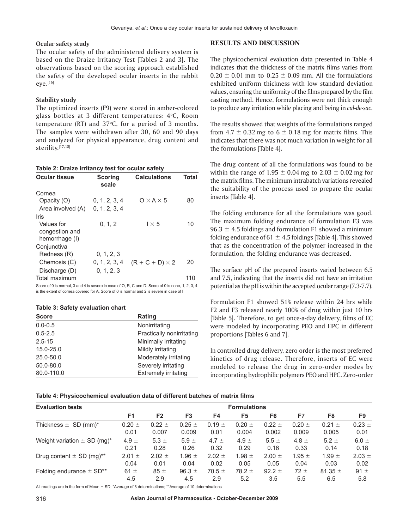#### **Ocular safety study**

The ocular safety of the administered delivery system is based on the Draize Irritancy Test [Tables 2 and 3]. The observations based on the scoring approach established the safety of the developed ocular inserts in the rabbit  $eye.<sup>[16]</sup>$ 

## **Stability study**

The optimized inserts (F9) were stored in amber-colored glass bottles at 3 different temperatures:  $4^{\circ}$ C, Room temperature  $(RT)$  and  $37^{\circ}C$ , for a period of 3 months. The samples were withdrawn after 30, 60 and 90 days and analyzed for physical appearance, drug content and sterility.[17,18]

#### **Table 2: Draize irritancy test for ocular safety**

| <b>Scoring</b><br>scale | <b>Calculations</b>    | Total |
|-------------------------|------------------------|-------|
|                         |                        |       |
| 0, 1, 2, 3, 4           | $0 \times A \times 5$  | 80    |
| 0, 1, 2, 3, 4           |                        |       |
|                         |                        |       |
| 0, 1, 2                 | $1 \times 5$           | 10    |
|                         |                        |       |
|                         |                        |       |
|                         |                        |       |
| 0, 1, 2, 3              |                        |       |
| 0, 1, 2, 3, 4           | $(R + C + D) \times 2$ | 20    |
| 0, 1, 2, 3              |                        |       |
|                         |                        | 110   |
|                         |                        |       |

Score of 0 is normal, 3 and 4 is severe in case of O, R, C and D. Score of 0 is none, 1, 2, 3, 4 is the extent of cornea covered for A. Score of 0 is normal and 2 is severe in case of I

#### **Table 3: Safety evaluation chart**

| <b>Score</b>  | Rating                      |
|---------------|-----------------------------|
| $0.0 - 0.5$   | Nonirritating               |
| $0.5 - 2.5$   | Practically nonirritating   |
| $2.5 - 15$    | Minimally irritating        |
| 15.0-25.0     | Mildly irritating           |
| $25.0 - 50.0$ | Moderately irritating       |
| 50.0-80.0     | Severely irritating         |
| 80.0-110.0    | <b>Extremely irritating</b> |

### **RESULTS AND DISCUSSION**

The physicochemical evaluation data presented in Table 4 indicates that the thickness of the matrix films varies from  $0.20 \pm 0.01$  mm to  $0.25 \pm 0.09$  mm. All the formulations exhibited uniform thickness with low standard deviation values, ensuring the uniformity of the films prepared by the film casting method. Hence, formulations were not thick enough to produce any irritation while placing and being in *cul*-*de*-*sac*.

The results showed that weights of the formulations ranged from  $4.7 \pm 0.32$  mg to  $6 \pm 0.18$  mg for matrix films. This indicates that there was not much variation in weight for all the formulations [Table 4].

The drug content of all the formulations was found to be within the range of 1.95  $\pm$  0.04 mg to 2.03  $\pm$  0.02 mg for the matrix films. The minimum intrabatch variations revealed the suitability of the process used to prepare the ocular inserts [Table 4].

The folding endurance for all the formulations was good. The maximum folding endurance of formulation F3 was 96.3  $\pm$  4.5 foldings and formulation F1 showed a minimum folding endurance of 61  $\pm$  4.5 foldings [Table 4]. This showed that as the concentration of the polymer increased in the formulation, the folding endurance was decreased.

The surface pH of the prepared inserts varied between 6.5 and 7.5, indicating that the inserts did not have an irritation potential as the pH is within the accepted ocular range (7.3-7.7).

Formulation F1 showed 51% release within 24 hrs while F2 and F3 released nearly 100% of drug within just 10 hrs [Table 5]. Therefore, to get once-a-day delivery, films of EC were modeled by incorporating PEO and HPC in different proportions [Tables 6 and 7].

In controlled drug delivery, zero order is the most preferred kinetics of drug release. Therefore, inserts of EC were modeled to release the drug in zero-order modes by incorporating hydrophilic polymers PEO and HPC. Zero-order

| Table 4: Physicochemical evaluation data of different batches of matrix films |  |
|-------------------------------------------------------------------------------|--|
|-------------------------------------------------------------------------------|--|

| <b>Evaluation tests</b>                     | <b>Formulations</b> |                |                |            |            |            |            |             |            |
|---------------------------------------------|---------------------|----------------|----------------|------------|------------|------------|------------|-------------|------------|
|                                             | F <sub>1</sub>      | F <sub>2</sub> | F <sub>3</sub> | F4         | F5         | F6         | F7         | F8          | F9         |
| Thickness $\pm$ SD (mm)*                    | $0.20 =$            | $0.22 \pm$     | $0.25 \pm$     | $0.19 =$   | $0.20 =$   | $0.22 \pm$ | $0.20 =$   | $0.21 \pm$  | $0.23 \pm$ |
|                                             | 0.01                | 0.007          | 0.009          | 0.01       | 0.004      | 0.002      | 0.009      | 0.005       | 0.01       |
| Weight variation $\pm$ SD (mg) <sup>*</sup> | 4.9 $\pm$           | 5.3 $\pm$      | $5.9 \pm$      | 4.7 $\pm$  | 4.9 $\pm$  | 5.5 $\pm$  | 4.8 $\pm$  | $5.2 \pm$   | $6.0 \pm$  |
|                                             | 0.21                | 0.28           | 0.26           | 0.32       | 0.29       | 0.16       | 0.33       | 0.14        | 0.18       |
| Drug content $\pm$ SD (mg) <sup>**</sup>    | $2.01 \pm$          | $2.02 \pm$     | 1.96 $\pm$     | $2.02 \pm$ | 1.98 $\pm$ | $2.00 \pm$ | 1.95 $\pm$ | 1.99 $\pm$  | $2.03 \pm$ |
|                                             | 0.04                | 0.01           | 0.04           | 0.02       | 0.05       | 0.05       | 0.04       | 0.03        | 0.02       |
| Folding endurance $\pm$ SD**                | 61 $\pm$            | $85 \pm$       | 96.3 $\pm$     | $70.5 \pm$ | $78.2 \pm$ | 92.2 $\pm$ | $72 +$     | 81.35 $\pm$ | $91 \pm$   |
|                                             | 4.5                 | 2.9            | 4.5            | 2.9        | 5.2        | 3.5        | 5.5        | 6.5         | 5.8        |

All readings are in the form of Mean  $\pm$  SD; \*Average of 3 determinations; \*\*Average of 10 determinations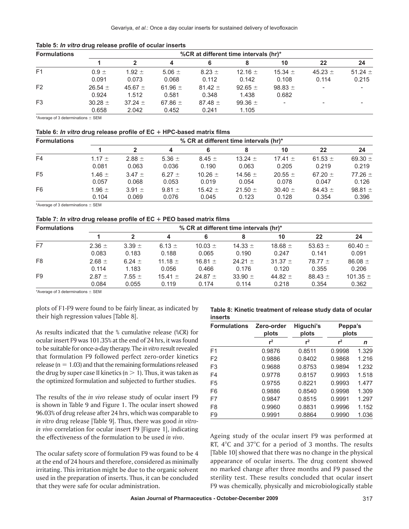| <b>Formulations</b> | %CR at different time intervals (hr)* |                      |                      |                      |                      |                      |                          |                      |
|---------------------|---------------------------------------|----------------------|----------------------|----------------------|----------------------|----------------------|--------------------------|----------------------|
|                     |                                       |                      | 4                    | 6                    |                      | 10                   | 22                       | 24                   |
| F <sub>1</sub>      | $0.9 \pm$<br>0.091                    | 1.92 $\pm$<br>0.073  | 5.06 $\pm$<br>0.068  | $8.23 \pm$<br>0.112  | 12.16 $\pm$<br>0.142 | 15.34 $\pm$<br>0.108 | 45.23 $\pm$<br>0.114     | 51.24 $\pm$<br>0.215 |
| F <sub>2</sub>      | 26.54 $\pm$<br>0.924                  | 45.67 $\pm$<br>1.512 | 61.96 $\pm$<br>0.581 | $81.42 \pm$<br>0.348 | 92.65 $\pm$<br>1.438 | 98.83 $\pm$<br>0.682 | $\overline{\phantom{0}}$ |                      |
| F <sub>3</sub>      | $30.28 \pm$<br>0.658                  | $37.24 \pm$<br>2.042 | 67.86 $\pm$<br>0.452 | $87.48 \pm$<br>0.241 | 99.36 $\pm$<br>1.105 |                      |                          | -                    |

\*Average of 3 determinations  $\pm$  SEM

#### Table 6: *In vitro* drug release profile of EC + HPC-based matrix films

| <b>Formulations</b> | % CR at different time intervals (hr)* |            |            |             |             |             |             |             |
|---------------------|----------------------------------------|------------|------------|-------------|-------------|-------------|-------------|-------------|
|                     |                                        | 2          | 4          | 6           |             | 10          | 22          | 24          |
| F4                  | 1.17 $\pm$                             | $2.88 \pm$ | 5.36 $\pm$ | $8.45 \pm$  | 13.24 $\pm$ | 17.41 $\pm$ | 61.53 $\pm$ | 69.30 $\pm$ |
|                     | 0.081                                  | 0.063      | 0.036      | 0.190       | 0.063       | 0.205       | 0.219       | 0.219       |
| F <sub>5</sub>      | 1.46 $\pm$                             | $3.47 \pm$ | 6.27 $\pm$ | 10.26 $\pm$ | 14.56 $\pm$ | $20.55 \pm$ | 67.20 $\pm$ | $77.26 \pm$ |
|                     | 0.057                                  | 0.068      | 0.053      | 0.019       | 0.054       | 0.078       | 0.047       | 0.126       |
| F <sub>6</sub>      | 1.96 $\pm$                             | $3.91 \pm$ | 9.81 $\pm$ | 15.42 $\pm$ | 21.50 $\pm$ | $30.40 \pm$ | 84.43 $\pm$ | 98.81 $\pm$ |
|                     | 0.104                                  | 0.069      | 0.076      | 0.045       | 0.123       | 0.128       | 0.354       | 0.396       |

\*Average of 3 determinations  $\pm$  SEM

#### **Table 7:** *In vitro* **drug release profile of EC** 1 **PEO based matrix films**

| <b>Formulations</b> | % CR at different time intervals (hr)* |            |             |             |             |             |             |              |
|---------------------|----------------------------------------|------------|-------------|-------------|-------------|-------------|-------------|--------------|
|                     |                                        |            | 4           |             |             | 10          | 22          | 24           |
| F7                  | $2.36 \pm$                             | $3.39 \pm$ | 6.13 $\pm$  | 10.03 $\pm$ | 14.33 $\pm$ | 18.68 $\pm$ | 53.63 $\pm$ | 60.40 $\pm$  |
|                     | 0.083                                  | 0.183      | 0.188       | 0.065       | 0.190       | 0.247       | 0.141       | 0.091        |
| F <sub>8</sub>      | $2.68 \pm$                             | 6.24 $\pm$ | 11.18 $\pm$ | 16.81 $\pm$ | 24.21 $\pm$ | 31.37 $\pm$ | 78.77 $\pm$ | 86.08 $\pm$  |
|                     | 0.114                                  | 1.183      | 0.056       | 0.466       | 0.176       | 0.120       | 0.355       | 0.206        |
| F <sub>9</sub>      | $2.87 \pm$                             | $7.55 \pm$ | 15.41 $\pm$ | 24.87 $\pm$ | 33.90 $\pm$ | 44.82 $\pm$ | 88.43 $\pm$ | 101.35 $\pm$ |
|                     | 0.084                                  | 0.055      | 0.119       | 0.174       | 0.114       | 0.218       | 0.354       | 0.362        |

\*Average of 3 determinations  $\pm$  SEM

plots of F1-F9 were found to be fairly linear, as indicated by their high regression values [Table 8].

As results indicated that the % cumulative release (%CR) for ocular insert F9 was 101.35% at the end of 24 hrs, it wasfound to be suitable for once-a-day therapy. The *in vitro* result revealed that formulation F9 followed perfect zero-order kinetics release ( $n = 1.03$ ) and that the remaining formulations released the drug by super case II kinetics ( $n > 1$ ). Thus, it was taken as the optimized formulation and subjected to further studies.

The results of the *in vivo* release study of ocular insert F9 is shown in Table 9 and Figure 1. The ocular insert showed 96.03% of drug release after 24 hrs, which was comparable to *in vitro* drug release [Table 9]. Thus, there was good *in vitroin vivo* correlation for ocular insert F9 [Figure 1], indicating the effectiveness of the formulation to be used *in vivo*.

The ocular safety score of formulation F9 was found to be 4 at the end of 24 hours and therefore, considered as minimally irritating. This irritation might be due to the organic solvent used in the preparation of inserts. Thus, it can be concluded that they were safe for ocular administration.

**Table 8: Kinetic treatment of release study data of ocular inserts**

| <b>Formulations</b> | Zero-order<br>plots | Higuchi's<br>plots | Peppa's<br>plots |       |  |
|---------------------|---------------------|--------------------|------------------|-------|--|
|                     | $r^2$               | $r^2$              | $r^2$            | n     |  |
| F <sub>1</sub>      | 0.9876              | 0.8511             | 0.9998           | 1.329 |  |
| F <sub>2</sub>      | 0.9886              | 0.8402             | 0.9868           | 1.216 |  |
| F <sub>3</sub>      | 0.9688              | 0.8753             | 0.9894           | 1.232 |  |
| F <sub>4</sub>      | 0.9778              | 0.8157             | 0.9993           | 1.518 |  |
| F <sub>5</sub>      | 0.9755              | 0.8221             | 0.9993           | 1.477 |  |
| F <sub>6</sub>      | 0.9886              | 0.8540             | 0.9998           | 1.309 |  |
| F7                  | 0.9847              | 0.8515             | 0.9991           | 1.297 |  |
| F <sub>8</sub>      | 0.9960              | 0.8831             | 0.9996           | 1.152 |  |
| F <sub>9</sub>      | 0.9991              | 0.8864             | 0.9990           | 1.036 |  |

Ageing study of the ocular insert F9 was performed at RT,  $4^{\circ}$ C and  $37^{\circ}$ C for a period of 3 months. The results [Table 10] showed that there was no change in the physical appearance of ocular inserts. The drug content showed no marked change after three months and F9 passed the sterility test. These results concluded that ocular insert F9 was chemically, physically and microbiologically stable